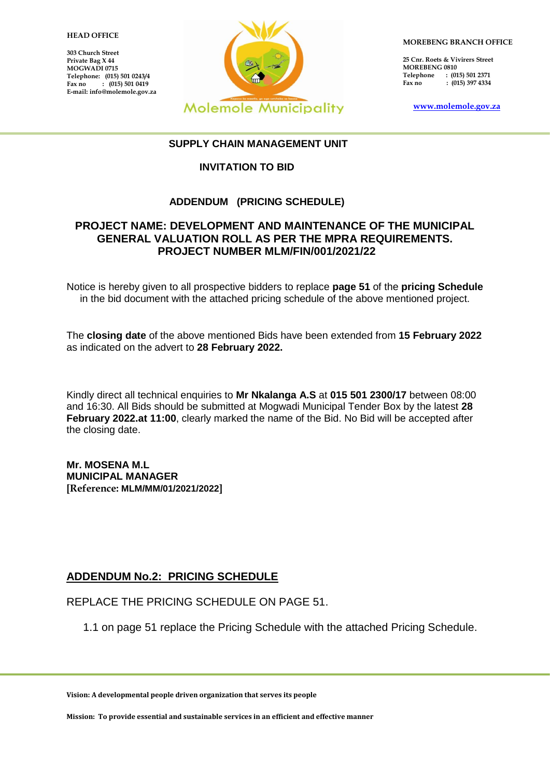#### 1 **HEAD OFFICE**

**303 Church Street Private Bag X 44 MOGWADI 0715 Telephone: (015) 501 0243/4 Fax no : (015) 501 0419 E-mail: info@molemole.gov.za**



**MOREBENG BRANCH OFFICE**

**25 Cnr. Roets & Vivirers Street MOREBENG 0810 Telephone** : (015) 501 2371<br>Fax no : (015) 397 4334 **Fax 1015) 397 4334** 

**[www.molemole.gov.za](http://www.molemole.gov.za/)** 

### **SUPPLY CHAIN MANAGEMENT UNIT**

## **INVITATION TO BID**

## **ADDENDUM (PRICING SCHEDULE)**

## **PROJECT NAME: DEVELOPMENT AND MAINTENANCE OF THE MUNICIPAL GENERAL VALUATION ROLL AS PER THE MPRA REQUIREMENTS. PROJECT NUMBER MLM/FIN/001/2021/22**

Notice is hereby given to all prospective bidders to replace **page 51** of the **pricing Schedule** in the bid document with the attached pricing schedule of the above mentioned project.

The **closing date** of the above mentioned Bids have been extended from **15 February 2022** as indicated on the advert to **28 February 2022.**

Kindly direct all technical enquiries to **Mr Nkalanga A.S** at **015 501 2300/17** between 08:00 and 16:30. All Bids should be submitted at Mogwadi Municipal Tender Box by the latest **28 February 2022.at 11:00**, clearly marked the name of the Bid. No Bid will be accepted after the closing date.

**Mr. MOSENA M.L MUNICIPAL MANAGER [Reference: MLM/MM/01/2021/2022]**

# **ADDENDUM No.2: PRICING SCHEDULE**

REPLACE THE PRICING SCHEDULE ON PAGE 51.

1.1 on page 51 replace the Pricing Schedule with the attached Pricing Schedule.

**Vision: A developmental people driven organization that serves its people**

**Mission: To provide essential and sustainable services in an efficient and effective manner**